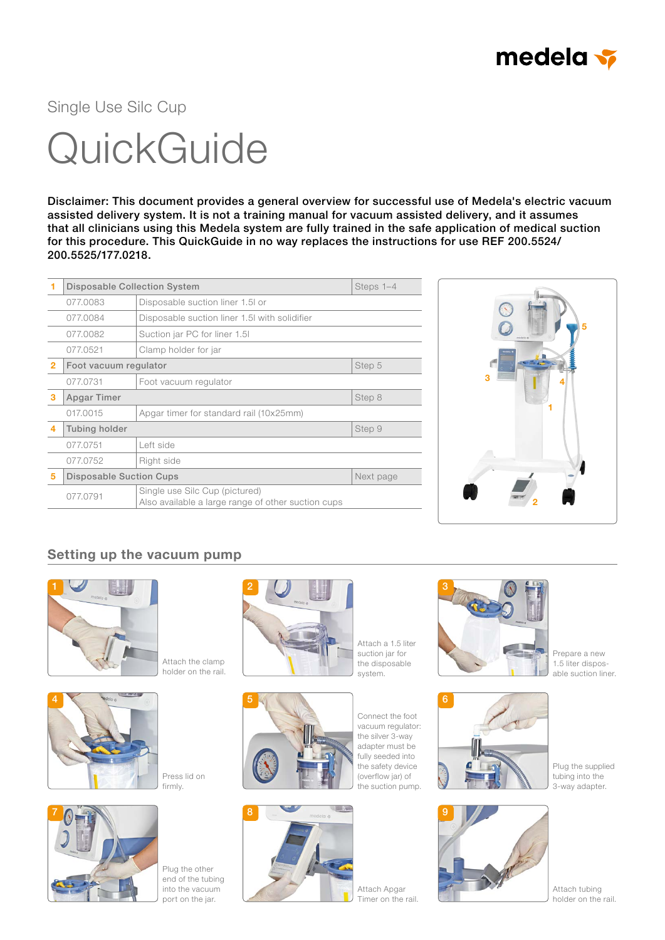

Single Use Silc Cup

## **QuickGuide**

Disclaimer: This document provides a general overview for successful use of Medela's electric vacuum assisted delivery system. It is not a training manual for vacuum assisted delivery, and it assumes that all clinicians using this Medela system are fully trained in the safe application of medical suction for this procedure. This QuickGuide in no way replaces the instructions for use REF 200.5524/ 200.5525/177.0218.

|                | <b>Disposable Collection System</b> |                                                                                      | Steps 1-4 |
|----------------|-------------------------------------|--------------------------------------------------------------------------------------|-----------|
|                | 077.0083                            | Disposable suction liner 1.5 or                                                      |           |
|                | 077.0084                            | Disposable suction liner 1.5 with solidifier                                         |           |
|                | 077,0082                            | Suction jar PC for liner 1.5                                                         |           |
|                | 077.0521                            | Clamp holder for jar                                                                 |           |
| $\overline{2}$ | Foot vacuum regulator               |                                                                                      | Step 5    |
|                | 077.0731                            | Foot vacuum regulator                                                                |           |
| 3              | Apgar Timer                         |                                                                                      | Step 8    |
|                | 017.0015                            | Apgar timer for standard rail (10x25mm)                                              |           |
| 4              | Tubing holder                       |                                                                                      | Step 9    |
|                | 077.0751                            | Left side                                                                            |           |
|                | 077.0752                            | Right side                                                                           |           |
| 5              | <b>Disposable Suction Cups</b>      |                                                                                      | Next page |
|                | 077.0791                            | Single use Silc Cup (pictured)<br>Also available a large range of other suction cups |           |



## Setting up the vacuum pump







Plug the other end of the tubing into the vacuum port on the jar.



Attach a 1.5 liter suction jar for the disposable system.



Connect the foot the silver 3-way adapter must be fully seeded into the safety device (overflow jar) of



vacuum regulator: the suction pump.



Attach Apgar Timer on the rail.



Prepare a new 1.5 liter disposable suction liner.



Plug the supplied tubing into the 3-way adapter.



Attach tubing holder on the rail.